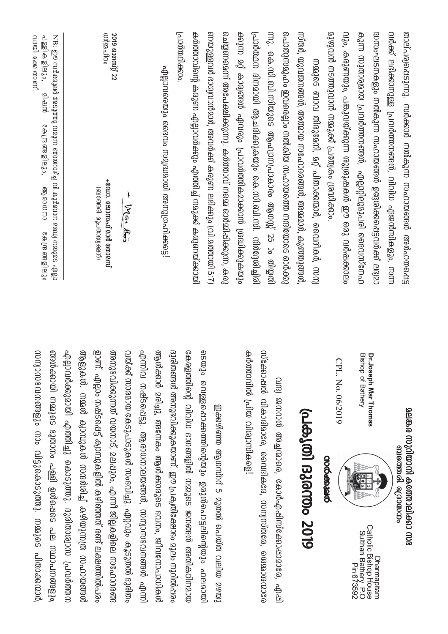| വർക്ക് ലഭിക്കാനുള്ള പ്രവർത്തനഞ്ഞൾ, വിവിധ ഏജൻസികളും, സന്ന<br>താല്പര്വക്കെടുന്നു. സർക്കാർ നൽകുന്ന സഹായങ്ങൾ അർഹതപ്പെട്ട                                                                         | <u>aeuæ, o roznim a compilasno mos</u><br>ബന്ധോ പ്രാസമ്പര                                                                                      |
|----------------------------------------------------------------------------------------------------------------------------------------------------------------------------------------------|------------------------------------------------------------------------------------------------------------------------------------------------|
| കുന്ന സുതാര്വമായ പ്രവർത്തനങ്ങൾ, എല്ലാറ്റിലുമുപരി ദൈവസ്നേഹ<br>ദ്ധസംഘടനകളും നൽകണ്ണ സഹായങ്ങൾ ഉദ്ദേശിക്കപ്പെട്ടവർക്ക് ലഭ്യമാ                                                                     | Dr.Joseph Mar Thomas<br>Bishop of Bathery<br>Catholic Bishop House<br>O.P. Pin Bathery<br>Sulthan Bathery<br>Dharmapitam                       |
| മുഴുവൻ നടത്തുവാൻ നമ്മുക്ക് പ്രത്യേകം ശ്രദ്ധിക്കാം.<br>വും, കരുണയും, പങ്കുവയ്ക്കുന്ന ശുശ്രൂഷകൾ ഈ ഒരു വർഷക്കാലം                                                                                | GP<br>L. No. 06/2019<br><b>crocesauco</b>                                                                                                      |
| നമ്മുടെ ബാവ തിരുമേനി, മറ്റ് പിതാക്കന്മാർ, വൈദീകർ, സന്വ                                                                                                                                       | (hde) (0) 13/0/00 2019                                                                                                                         |
| പൊതുസ്മൂഹം ഇവക്കെന്ന നൽകിയ സഹായത്തെ നന്ദിയോടെ ഓർക്കു<br>സ്തർ, യുവജനങ്ങൾ, അത്മായ സഹോദരങ്ങൾ, അമ്മമാർ, കുഞ്ഞുങ്ങൾ                                                                               |                                                                                                                                                |
| ക്കുന്ന മു് കാര്യങ്ങൾ എവരും പ്രാവർത്തികമാക്കാൻ ശ്രദ്ധിക്കുകയും<br>പ്രാർത്ഥന ദിനമായി ആചരിക്കുകയും കെ.സി.ബി.സി. നിർദ്ദേശിച്ചിരി<br>ന്നു. കെ.സി.ബി.സിയുടെ ആഫ്വാനപ്രാകാരം ആഗസ്റ്റ് 25 ാം തിയ്യതി | കർത്താവിൽ പ്രിയ വിശ്വാന്തികളെ!<br>സ്ക്കോഷൽ വികാരിമാരേ, വൈദികരേ, സന്വസ്തരേ, ശൈമാശന്മാരേ<br>വന്ദ്വ ജനറാൾ അച്ചന്മാരെ, കോർഎപ്പിസ്ക്കോഷാമാരേ, എപ്പി |
| ണയുള്ളവർ ഭാഗ്വവാൻമാർ, അവർക്ക് കരുണ ലഭിക്കും (വി. മത്തായി 5:7)<br>ചെയ്യണമെന്ന് അപേക്ഷിക്കുന്നു. കർത്താവ് നമ്മെ ഓർമ്മിപ്പിക്കുന്ന, കരു                                                         | യൊം വെള്ളൊക്കരീത്തിന്റെയും ഉദുശാപാട്ടലിന്റെയും പാലമായി<br>ഇക്കഴിഞ്ഞ ആഗസ്റ്റ് 5 മുതൽ പെയ്ത വലിയ മഴയു                                            |
| மணிக்கை<br>കർത്താവിന്റെ കരുണ എല്ലാവർക്കും എത്തിച്ച് നമുക്ക് കരുണയ്ക്കായി                                                                                                                     | കേരളത്തിന്റെ വിവിധ ദാഗങ്ങളിൽ നമ്മുടെ ജനങ്ങൾ അതികഠിനമായ                                                                                         |
| എല്ലാവരെയും വെടവം സമ്യമായി അനുഗ്രഹിക്കട്ടെ!                                                                                                                                                  | ദുരിതങ്ങൾ അനുഭവിക്കുകയാണ്. ഈ പ്രകൃതിക്ഷോഭം മൂലം നൂറിൽപ്പരം<br>ல்லு<br>ക്കാർ മരിച്ചു, അനേകം ആൾക്കാരുടെ ഭവനം, ജീവനോപാധികൾ                        |
|                                                                                                                                                                                              | എന്നിവ നഷ്ടഭൊപ്പട്ടു. ആരാധനാലയങ്ങൾ, സന്വാസഭവനങ്ങൾ എന്നി                                                                                        |
| $\ddot{}$<br>Mar Am                                                                                                                                                                          | വയ്ക്ക് സാരമായ കേടുപാടുകൾ സംഭവിച്ചു. ഏറ്റവും കൂടുതൽ ദുരിതം                                                                                     |
| <b>W@@uTlOo</b><br>2019 ຄວທານກູ້ 22<br>+വോ. ജോസഫ് മാർ തോമസ്<br>(മാജ്കപ്രാന്ത്രപ്രമാധാ)                                                                                                       | <u>ຍ</u> ວണ.<br>അനുഭവിക്കുന്നത് വയനാട്, മലപ്പുറം, എന്നീ ജില്ലകളിലെ സഹോദരങ്ങ<br>. എല്ലാം നഷ്ടപ്പെട്ട് ക്വാമ്പുകളിൽ കഴിഞ്ഞത് രണ്ട് ലക്ഷത്തിൽപരം  |
|                                                                                                                                                                                              | എല്ലാവർക്കുമായി എത്തുടുകോടുത്തു. ദുരിതാശ്വാസ പ്രവർത്തന<br>ആളുകൾ. നമ്മൾ ക്വാമ്പുകൾ സന്ദർശിച്ച് കഴിയുന്നത്ര സഹായങ്ങൾ                             |
| NB: ഈ സർക്കുലർ അടുത്തു വരുന്ന ഞായറാഴ്ച്ച വി.കുർബാന മദ്ധ്വേ സമ്മുടെ എല്ലാ<br>ற்குமே                                                                                                           | ങ്ങൾക്കായി നമ്മുടെ ദൂതാനം പള്ളി ഉൾപ്പെട്ട പല സ്ഥാപനങ്ങളും,                                                                                     |
| വായി കേരിന്ന്<br>பணிகளு வு.<br>കേന്ദ്ര ഞളിലും,<br>$\cos\theta$<br>மே மே வை தி ப                                                                                                              | സന്വാസദവനങ്ങളും നാം വിട്ടുകൊടുത്തു. നമ്മുടെ പിതാക്കന്മാർ                                                                                       |